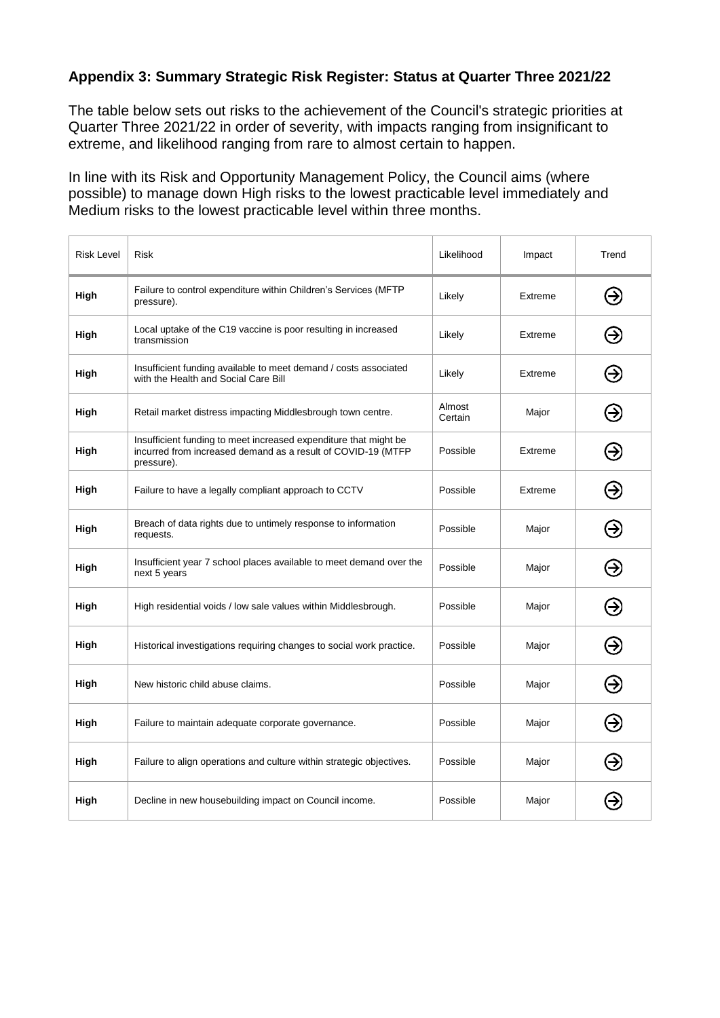## **Appendix 3: Summary Strategic Risk Register: Status at Quarter Three 2021/22**

The table below sets out risks to the achievement of the Council's strategic priorities at Quarter Three 2021/22 in order of severity, with impacts ranging from insignificant to extreme, and likelihood ranging from rare to almost certain to happen.

In line with its Risk and Opportunity Management Policy, the Council aims (where possible) to manage down High risks to the lowest practicable level immediately and Medium risks to the lowest practicable level within three months.

| <b>Risk Level</b> | Risk                                                                                                                                           | Likelihood        | Impact  | Trend |
|-------------------|------------------------------------------------------------------------------------------------------------------------------------------------|-------------------|---------|-------|
| High              | Failure to control expenditure within Children's Services (MFTP<br>pressure).                                                                  | Likely            | Extreme | ⊛     |
| High              | Local uptake of the C19 vaccine is poor resulting in increased<br>transmission                                                                 | Likely            | Extreme | ⊖     |
| High              | Insufficient funding available to meet demand / costs associated<br>with the Health and Social Care Bill                                       | Likely            | Extreme | ⊖     |
| High              | Retail market distress impacting Middlesbrough town centre.                                                                                    | Almost<br>Certain | Major   | Э     |
| High              | Insufficient funding to meet increased expenditure that might be<br>incurred from increased demand as a result of COVID-19 (MTFP<br>pressure). | Possible          | Extreme | ⊖     |
| High              | Failure to have a legally compliant approach to CCTV                                                                                           | Possible          | Extreme | Э     |
| High              | Breach of data rights due to untimely response to information<br>requests.                                                                     | Possible          | Major   | ⊖     |
| High              | Insufficient year 7 school places available to meet demand over the<br>next 5 years                                                            | Possible          | Major   | ⊖     |
| High              | High residential voids / low sale values within Middlesbrough.                                                                                 | Possible          | Major   | ⊛     |
| High              | Historical investigations requiring changes to social work practice.                                                                           | Possible          | Major   | Э     |
| High              | New historic child abuse claims.                                                                                                               | Possible          | Major   | ⊖     |
| High              | Failure to maintain adequate corporate governance.                                                                                             | Possible          | Major   | Э     |
| High              | Failure to align operations and culture within strategic objectives.                                                                           | Possible          | Major   | ⊖     |
| High              | Decline in new housebuilding impact on Council income.                                                                                         | Possible          | Major   |       |